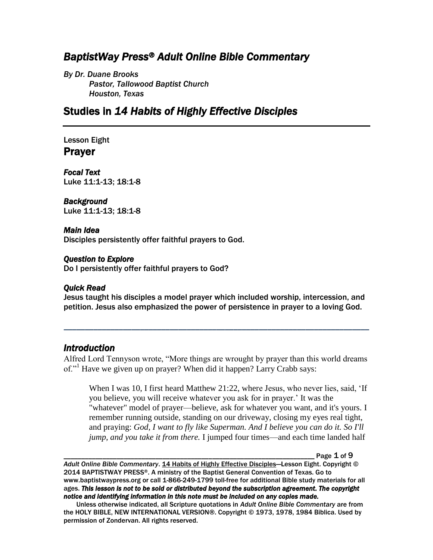# *BaptistWay Press® Adult Online Bible Commentary*

*By Dr. Duane Brooks Pastor, Tallowood Baptist Church Houston, Texas*

# Studies in *14 Habits of Highly Effective Disciples*

Lesson Eight Prayer

*Focal Text*  Luke 11:1-13; 18:1-8

#### *Background*

Luke 11:1-13; 18:1-8

#### *Main Idea*

Disciples persistently offer faithful prayers to God.

#### *Question to Explore*

Do I persistently offer faithful prayers to God?

#### *Quick Read*

Jesus taught his disciples a model prayer which included worship, intercession, and petition. Jesus also emphasized the power of persistence in prayer to a loving God.

*\_\_\_\_\_\_\_\_\_\_\_\_\_\_\_\_\_\_\_\_\_\_\_\_\_\_\_\_\_\_\_\_\_\_\_\_\_\_\_\_\_\_\_\_\_\_\_\_\_\_\_\_\_\_\_\_\_\_\_\_\_\_\_\_\_\_\_\_\_\_\_\_*

### *Introduction*

Alfred Lord Tennyson wrote, "More things are wrought by prayer than this world dreams of."<sup>1</sup> Have we given up on prayer? When did it happen? Larry Crabb says:

When I was 10, I first heard Matthew 21:22, where Jesus, who never lies, said, 'If you believe, you will receive whatever you ask for in prayer.' It was the "whatever" model of prayer—believe, ask for whatever you want, and it's yours. I remember running outside, standing on our driveway, closing my eyes real tight, and praying: *God, I want to fly like Superman. And I believe you can do it. So I'll jump, and you take it from there.* I jumped four times—and each time landed half

Page  $1$  of  $9$ 

*Adult Online Bible Commentary*. 14 Habits of Highly Effective Disciples—Lesson Eight. Copyright © 2014 BAPTISTWAY PRESS®. A ministry of the Baptist General Convention of Texas. Go to www.baptistwaypress.org or call 1-866-249-1799 toll-free for additional Bible study materials for all ages. *This lesson is not to be sold or distributed beyond the subscription agreement. The copyright notice and identifying information in this note must be included on any copies made.* 

Unless otherwise indicated, all Scripture quotations in *Adult Online Bible Commentary* are from the HOLY BIBLE, NEW INTERNATIONAL VERSION®. Copyright © 1973, 1978, 1984 Biblica. Used by permission of Zondervan. All rights reserved.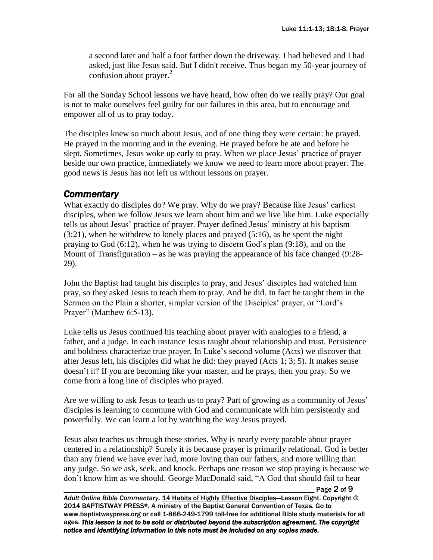a second later and half a foot farther down the driveway. I had believed and I had asked, just like Jesus said. But I didn't receive. Thus began my 50-year journey of confusion about prayer.<sup>2</sup>

For all the Sunday School lessons we have heard, how often do we really pray? Our goal is not to make ourselves feel guilty for our failures in this area, but to encourage and empower all of us to pray today.

The disciples knew so much about Jesus, and of one thing they were certain: he prayed. He prayed in the morning and in the evening. He prayed before he ate and before he slept. Sometimes, Jesus woke up early to pray. When we place Jesus' practice of prayer beside our own practice, immediately we know we need to learn more about prayer. The good news is Jesus has not left us without lessons on prayer.

## *Commentary*

What exactly do disciples do? We pray. Why do we pray? Because like Jesus' earliest disciples, when we follow Jesus we learn about him and we live like him. Luke especially tells us about Jesus' practice of prayer. Prayer defined Jesus' ministry at his baptism (3:21), when he withdrew to lonely places and prayed (5:16), as he spent the night praying to God (6:12), when he was trying to discern God's plan (9:18), and on the Mount of Transfiguration – as he was praying the appearance of his face changed (9:28- 29).

John the Baptist had taught his disciples to pray, and Jesus' disciples had watched him pray, so they asked Jesus to teach them to pray. And he did. In fact he taught them in the Sermon on the Plain a shorter, simpler version of the Disciples' prayer, or "Lord's Prayer" (Matthew 6:5-13).

Luke tells us Jesus continued his teaching about prayer with analogies to a friend, a father, and a judge. In each instance Jesus taught about relationship and trust. Persistence and boldness characterize true prayer. In Luke's second volume (Acts) we discover that after Jesus left, his disciples did what he did: they prayed (Acts 1; 3; 5). It makes sense doesn't it? If you are becoming like your master, and he prays, then you pray. So we come from a long line of disciples who prayed.

Are we willing to ask Jesus to teach us to pray? Part of growing as a community of Jesus' disciples is learning to commune with God and communicate with him persistently and powerfully. We can learn a lot by watching the way Jesus prayed.

Jesus also teaches us through these stories. Why is nearly every parable about prayer centered in a relationship? Surely it is because prayer is primarily relational. God is better than any friend we have ever had, more loving than our fathers, and more willing than any judge. So we ask, seek, and knock. Perhaps one reason we stop praying is because we don't know him as we should. George MacDonald said, "A God that should fail to hear

\_\_\_\_\_\_\_\_\_\_\_\_\_\_\_\_\_\_\_\_\_\_\_\_\_\_\_\_\_\_\_\_\_\_\_\_\_\_\_\_\_\_\_\_\_\_\_\_\_\_\_\_\_\_\_\_\_\_\_\_\_\_\_\_\_\_\_\_\_\_\_ Page 2 of 9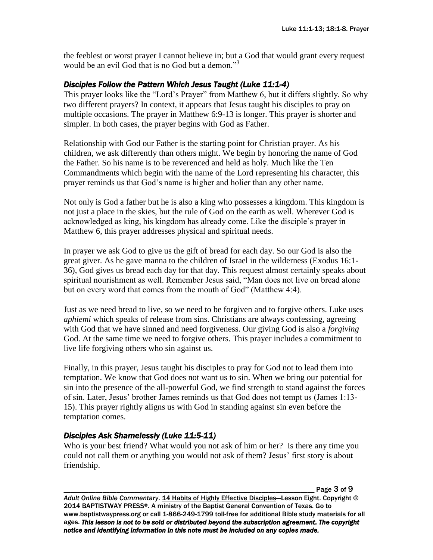the feeblest or worst prayer I cannot believe in; but a God that would grant every request would be an evil God that is no God but a demon."<sup>3</sup>

### *Disciples Follow the Pattern Which Jesus Taught (Luke 11:1-4)*

This prayer looks like the "Lord's Prayer" from Matthew 6, but it differs slightly. So why two different prayers? In context, it appears that Jesus taught his disciples to pray on multiple occasions. The prayer in Matthew 6:9-13 is longer. This prayer is shorter and simpler. In both cases, the prayer begins with God as Father.

Relationship with God our Father is the starting point for Christian prayer. As his children, we ask differently than others might. We begin by honoring the name of God the Father. So his name is to be reverenced and held as holy. Much like the Ten Commandments which begin with the name of the Lord representing his character, this prayer reminds us that God's name is higher and holier than any other name.

Not only is God a father but he is also a king who possesses a kingdom. This kingdom is not just a place in the skies, but the rule of God on the earth as well. Wherever God is acknowledged as king, his kingdom has already come. Like the disciple's prayer in Matthew 6, this prayer addresses physical and spiritual needs.

In prayer we ask God to give us the gift of bread for each day. So our God is also the great giver. As he gave manna to the children of Israel in the wilderness (Exodus 16:1- 36), God gives us bread each day for that day. This request almost certainly speaks about spiritual nourishment as well. Remember Jesus said, "Man does not live on bread alone but on every word that comes from the mouth of God" (Matthew 4:4).

Just as we need bread to live, so we need to be forgiven and to forgive others. Luke uses *aphiemi* which speaks of release from sins. Christians are always confessing, agreeing with God that we have sinned and need forgiveness. Our giving God is also a *forgiving* God. At the same time we need to forgive others. This prayer includes a commitment to live life forgiving others who sin against us.

Finally, in this prayer, Jesus taught his disciples to pray for God not to lead them into temptation. We know that God does not want us to sin. When we bring our potential for sin into the presence of the all-powerful God, we find strength to stand against the forces of sin. Later, Jesus' brother James reminds us that God does not tempt us (James 1:13- 15). This prayer rightly aligns us with God in standing against sin even before the temptation comes.

## *Disciples Ask Shamelessly (Luke 11:5-11)*

Who is your best friend? What would you not ask of him or her? Is there any time you could not call them or anything you would not ask of them? Jesus' first story is about friendship.

\_\_\_\_\_\_\_\_\_\_\_\_\_\_\_\_\_\_\_\_\_\_\_\_\_\_\_\_\_\_\_\_\_\_\_\_\_\_\_\_\_\_\_\_\_\_\_\_\_\_\_\_\_\_\_\_\_\_\_\_\_\_\_\_\_\_\_\_\_\_\_ Page 3 of 9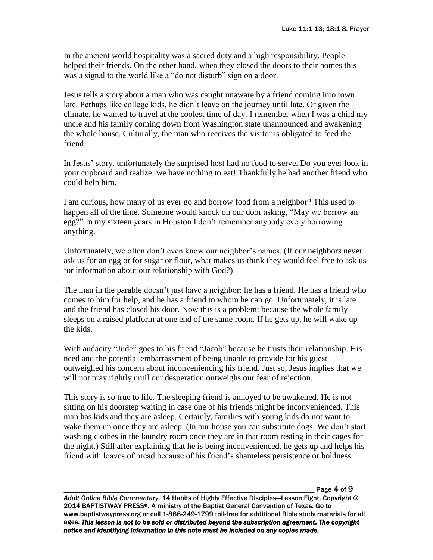In the ancient world hospitality was a sacred duty and a high responsibility. People helped their friends. On the other hand, when they closed the doors to their homes this was a signal to the world like a "do not disturb" sign on a door.

Jesus tells a story about a man who was caught unaware by a friend coming into town late. Perhaps like college kids, he didn't leave on the journey until late. Or given the climate, he wanted to travel at the coolest time of day. I remember when I was a child my uncle and his family coming down from Washington state unannounced and awakening the whole house. Culturally, the man who receives the visitor is obligated to feed the friend.

In Jesus' story, unfortunately the surprised host had no food to serve. Do you ever look in your cupboard and realize: we have nothing to eat! Thankfully he had another friend who could help him.

I am curious, how many of us ever go and borrow food from a neighbor? This used to happen all of the time. Someone would knock on our door asking, "May we borrow an egg?" In my sixteen years in Houston I don't remember anybody every borrowing anything.

Unfortunately, we often don't even know our neighbor's names. (If our neighbors never ask us for an egg or for sugar or flour, what makes us think they would feel free to ask us for information about our relationship with God?)

The man in the parable doesn't just have a neighbor: he has a friend. He has a friend who comes to him for help, and he has a friend to whom he can go. Unfortunately, it is late and the friend has closed his door. Now this is a problem: because the whole family sleeps on a raised platform at one end of the same room. If he gets up, he will wake up the kids.

With audacity "Jude" goes to his friend "Jacob" because he trusts their relationship. His need and the potential embarrassment of being unable to provide for his guest outweighed his concern about inconveniencing his friend. Just so, Jesus implies that we will not pray rightly until our desperation outweighs our fear of rejection.

This story is so true to life. The sleeping friend is annoyed to be awakened. He is not sitting on his doorstep waiting in case one of his friends might be inconvenienced. This man has kids and they are asleep. Certainly, families with young kids do not want to wake them up once they are asleep. (In our house you can substitute dogs. We don't start washing clothes in the laundry room once they are in that room resting in their cages for the night.) Still after explaining that he is being inconvenienced, he gets up and helps his friend with loaves of bread because of his friend's shameless persistence or boldness.

\_\_\_\_\_\_\_\_\_\_\_\_\_\_\_\_\_\_\_\_\_\_\_\_\_\_\_\_\_\_\_\_\_\_\_\_\_\_\_\_\_\_\_\_\_\_\_\_\_\_\_\_\_\_\_\_\_\_\_\_\_\_\_\_\_\_\_\_\_\_\_ Page 4 of 9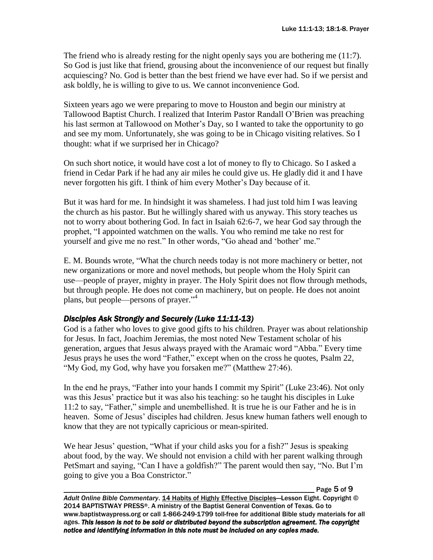The friend who is already resting for the night openly says you are bothering me (11:7). So God is just like that friend, grousing about the inconvenience of our request but finally acquiescing? No. God is better than the best friend we have ever had. So if we persist and ask boldly, he is willing to give to us. We cannot inconvenience God.

Sixteen years ago we were preparing to move to Houston and begin our ministry at Tallowood Baptist Church. I realized that Interim Pastor Randall O'Brien was preaching his last sermon at Tallowood on Mother's Day, so I wanted to take the opportunity to go and see my mom. Unfortunately, she was going to be in Chicago visiting relatives. So I thought: what if we surprised her in Chicago?

On such short notice, it would have cost a lot of money to fly to Chicago. So I asked a friend in Cedar Park if he had any air miles he could give us. He gladly did it and I have never forgotten his gift. I think of him every Mother's Day because of it.

But it was hard for me. In hindsight it was shameless. I had just told him I was leaving the church as his pastor. But he willingly shared with us anyway. This story teaches us not to worry about bothering God. In fact in Isaiah 62:6-7, we hear God say through the prophet, "I appointed watchmen on the walls. You who remind me take no rest for yourself and give me no rest." In other words, "Go ahead and 'bother' me."

E. M. Bounds wrote, "What the church needs today is not more machinery or better, not new organizations or more and novel methods, but people whom the Holy Spirit can use—people of prayer, mighty in prayer. The Holy Spirit does not flow through methods, but through people. He does not come on machinery, but on people. He does not anoint plans, but people—persons of prayer." 4

### *Disciples Ask Strongly and Securely (Luke 11:11-13)*

God is a father who loves to give good gifts to his children. Prayer was about relationship for Jesus. In fact, Joachim Jeremias, the most noted New Testament scholar of his generation, argues that Jesus always prayed with the Aramaic word "Abba." Every time Jesus prays he uses the word "Father," except when on the cross he quotes, Psalm 22, "My God, my God, why have you forsaken me?" (Matthew 27:46).

In the end he prays, "Father into your hands I commit my Spirit" (Luke 23:46). Not only was this Jesus' practice but it was also his teaching: so he taught his disciples in Luke 11:2 to say, "Father," simple and unembellished. It is true he is our Father and he is in heaven. Some of Jesus' disciples had children. Jesus knew human fathers well enough to know that they are not typically capricious or mean-spirited.

We hear Jesus' question, "What if your child asks you for a fish?" Jesus is speaking about food, by the way. We should not envision a child with her parent walking through PetSmart and saying, "Can I have a goldfish?" The parent would then say, "No. But I'm going to give you a Boa Constrictor."

Page 5 of 9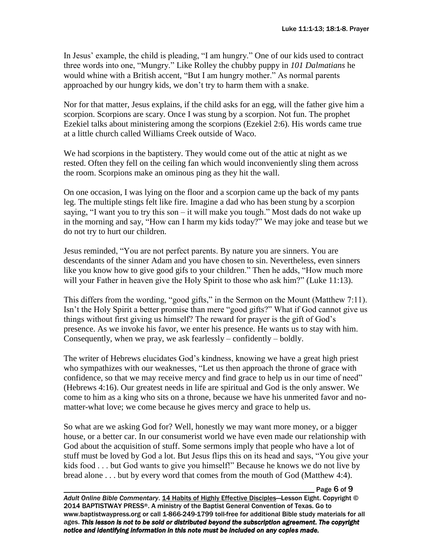In Jesus' example, the child is pleading, "I am hungry." One of our kids used to contract three words into one, "Mungry." Like Rolley the chubby puppy in *101 Dalmatians* he would whine with a British accent, "But I am hungry mother." As normal parents approached by our hungry kids, we don't try to harm them with a snake.

Nor for that matter, Jesus explains, if the child asks for an egg, will the father give him a scorpion. Scorpions are scary. Once I was stung by a scorpion. Not fun. The prophet Ezekiel talks about ministering among the scorpions (Ezekiel 2:6). His words came true at a little church called Williams Creek outside of Waco.

We had scorpions in the baptistery. They would come out of the attic at night as we rested. Often they fell on the ceiling fan which would inconveniently sling them across the room. Scorpions make an ominous ping as they hit the wall.

On one occasion, I was lying on the floor and a scorpion came up the back of my pants leg. The multiple stings felt like fire. Imagine a dad who has been stung by a scorpion saying, "I want you to try this son – it will make you tough." Most dads do not wake up in the morning and say, "How can I harm my kids today?" We may joke and tease but we do not try to hurt our children.

Jesus reminded, "You are not perfect parents. By nature you are sinners. You are descendants of the sinner Adam and you have chosen to sin. Nevertheless, even sinners like you know how to give good gifs to your children." Then he adds, "How much more will your Father in heaven give the Holy Spirit to those who ask him?" (Luke 11:13).

This differs from the wording, "good gifts," in the Sermon on the Mount (Matthew 7:11). Isn't the Holy Spirit a better promise than mere "good gifts?" What if God cannot give us things without first giving us himself? The reward for prayer is the gift of God's presence. As we invoke his favor, we enter his presence. He wants us to stay with him. Consequently, when we pray, we ask fearlessly – confidently – boldly.

The writer of Hebrews elucidates God's kindness, knowing we have a great high priest who sympathizes with our weaknesses, "Let us then approach the throne of grace with confidence, so that we may receive mercy and find grace to help us in our time of need" (Hebrews 4:16). Our greatest needs in life are spiritual and God is the only answer. We come to him as a king who sits on a throne, because we have his unmerited favor and nomatter-what love; we come because he gives mercy and grace to help us.

So what are we asking God for? Well, honestly we may want more money, or a bigger house, or a better car. In our consumerist world we have even made our relationship with God about the acquisition of stuff. Some sermons imply that people who have a lot of stuff must be loved by God a lot. But Jesus flips this on its head and says, "You give your kids food . . . but God wants to give you himself!" Because he knows we do not live by bread alone . . . but by every word that comes from the mouth of God (Matthew 4:4).

Page  $6$  of  $9$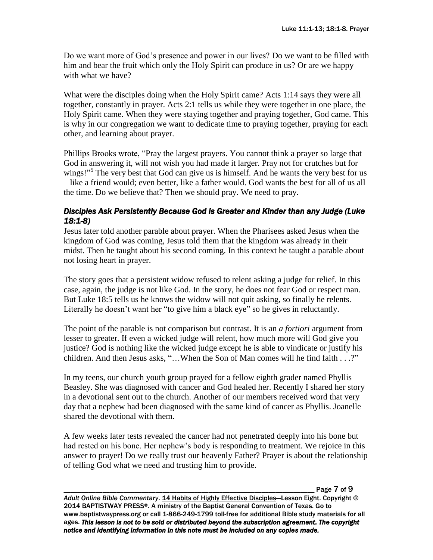Do we want more of God's presence and power in our lives? Do we want to be filled with him and bear the fruit which only the Holy Spirit can produce in us? Or are we happy with what we have?

What were the disciples doing when the Holy Spirit came? Acts 1:14 says they were all together, constantly in prayer. Acts 2:1 tells us while they were together in one place, the Holy Spirit came. When they were staying together and praying together, God came. This is why in our congregation we want to dedicate time to praying together, praying for each other, and learning about prayer.

Phillips Brooks wrote, "Pray the largest prayers. You cannot think a prayer so large that God in answering it, will not wish you had made it larger. Pray not for crutches but for wings!"<sup>5</sup> The very best that God can give us is himself. And he wants the very best for us – like a friend would; even better, like a father would. God wants the best for all of us all the time. Do we believe that? Then we should pray. We need to pray.

### *Disciples Ask Persistently Because God is Greater and Kinder than any Judge (Luke 18:1-8)*

Jesus later told another parable about prayer. When the Pharisees asked Jesus when the kingdom of God was coming, Jesus told them that the kingdom was already in their midst. Then he taught about his second coming. In this context he taught a parable about not losing heart in prayer.

The story goes that a persistent widow refused to relent asking a judge for relief. In this case, again, the judge is not like God. In the story, he does not fear God or respect man. But Luke 18:5 tells us he knows the widow will not quit asking, so finally he relents. Literally he doesn't want her "to give him a black eye" so he gives in reluctantly.

The point of the parable is not comparison but contrast. It is an *a fortiori* argument from lesser to greater. If even a wicked judge will relent, how much more will God give you justice? God is nothing like the wicked judge except he is able to vindicate or justify his children. And then Jesus asks, "…When the Son of Man comes will he find faith . . .?"

In my teens, our church youth group prayed for a fellow eighth grader named Phyllis Beasley. She was diagnosed with cancer and God healed her. Recently I shared her story in a devotional sent out to the church. Another of our members received word that very day that a nephew had been diagnosed with the same kind of cancer as Phyllis. Joanelle shared the devotional with them.

A few weeks later tests revealed the cancer had not penetrated deeply into his bone but had rested on his bone. Her nephew's body is responding to treatment. We rejoice in this answer to prayer! Do we really trust our heavenly Father? Prayer is about the relationship of telling God what we need and trusting him to provide.

\_\_\_\_\_\_\_\_\_\_\_\_\_\_\_\_\_\_\_\_\_\_\_\_\_\_\_\_\_\_\_\_\_\_\_\_\_\_\_\_\_\_\_\_\_\_\_\_\_\_\_\_\_\_\_\_\_\_\_\_\_\_\_\_\_\_\_\_\_\_\_ Page 7 of 9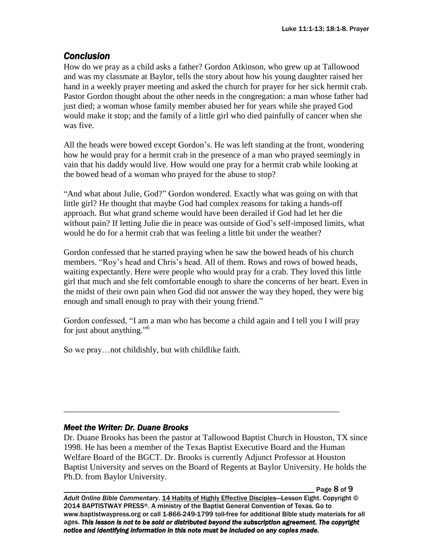# *Conclusion*

How do we pray as a child asks a father? Gordon Atkinson, who grew up at Tallowood and was my classmate at Baylor, tells the story about how his young daughter raised her hand in a weekly prayer meeting and asked the church for prayer for her sick hermit crab. Pastor Gordon thought about the other needs in the congregation: a man whose father had just died; a woman whose family member abused her for years while she prayed God would make it stop; and the family of a little girl who died painfully of cancer when she was five.

All the heads were bowed except Gordon's. He was left standing at the front, wondering how he would pray for a hermit crab in the presence of a man who prayed seemingly in vain that his daddy would live. How would one pray for a hermit crab while looking at the bowed head of a woman who prayed for the abuse to stop?

"And what about Julie, God?" Gordon wondered. Exactly what was going on with that little girl? He thought that maybe God had complex reasons for taking a hands-off approach. But what grand scheme would have been derailed if God had let her die without pain? If letting Julie die in peace was outside of God's self-imposed limits, what would he do for a hermit crab that was feeling a little bit under the weather?

Gordon confessed that he started praying when he saw the bowed heads of his church members. "Roy's head and Chris's head. All of them. Rows and rows of bowed heads, waiting expectantly. Here were people who would pray for a crab. They loved this little girl that much and she felt comfortable enough to share the concerns of her heart. Even in the midst of their own pain when God did not answer the way they hoped, they were big enough and small enough to pray with their young friend."

Gordon confessed, "I am a man who has become a child again and I tell you I will pray for just about anything."<sup>6</sup>

So we pray…not childishly, but with childlike faith.

## *Meet the Writer: Dr. Duane Brooks*

Dr. Duane Brooks has been the pastor at Tallowood Baptist Church in Houston, TX since 1998. He has been a member of the Texas Baptist Executive Board and the Human Welfare Board of the BGCT. Dr. Brooks is currently Adjunct Professor at Houston Baptist University and serves on the Board of Regents at Baylor University. He holds the Ph.D. from Baylor University.

\_\_\_\_\_\_\_\_\_\_\_\_\_\_\_\_\_\_\_\_\_\_\_\_\_\_\_\_\_\_\_\_\_\_\_\_\_\_\_\_\_\_\_\_\_\_\_\_\_\_\_\_\_\_\_\_\_\_\_\_\_\_\_\_\_

Page 8 of 9